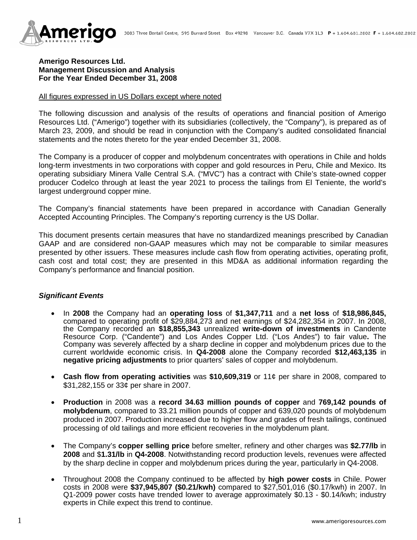

### **Amerigo Resources Ltd. Management Discussion and Analysis For the Year Ended December 31, 2008**

#### All figures expressed in US Dollars except where noted

The following discussion and analysis of the results of operations and financial position of Amerigo Resources Ltd. ("Amerigo") together with its subsidiaries (collectively, the "Company"), is prepared as of March 23, 2009, and should be read in conjunction with the Company's audited consolidated financial statements and the notes thereto for the year ended December 31, 2008.

The Company is a producer of copper and molybdenum concentrates with operations in Chile and holds long-term investments in two corporations with copper and gold resources in Peru, Chile and Mexico. Its operating subsidiary Minera Valle Central S.A. ("MVC") has a contract with Chile's state-owned copper producer Codelco through at least the year 2021 to process the tailings from El Teniente, the world's largest underground copper mine.

The Company's financial statements have been prepared in accordance with Canadian Generally Accepted Accounting Principles. The Company's reporting currency is the US Dollar.

This document presents certain measures that have no standardized meanings prescribed by Canadian GAAP and are considered non-GAAP measures which may not be comparable to similar measures presented by other issuers. These measures include cash flow from operating activities, operating profit, cash cost and total cost; they are presented in this MD&A as additional information regarding the Company's performance and financial position.

### *Significant Events*

- In **2008** the Company had an **operating loss** of **\$1,347,711** and a **net loss** of **\$18,986,845,** compared to operating profit of \$29,884,273 and net earnings of \$24,282,354 in 2007. In 2008, the Company recorded an **\$18,855,343** unrealized **write-down of investments** in Candente Resource Corp. ("Candente") and Los Andes Copper Ltd. ("Los Andes") to fair value**.** The Company was severely affected by a sharp decline in copper and molybdenum prices due to the current worldwide economic crisis. In **Q4-2008** alone the Company recorded **\$12,463,135** in **negative pricing adjustments** to prior quarters' sales of copper and molybdenum.
- **Cash flow from operating activities** was **\$10,609,319** or 11¢ per share in 2008, compared to \$31,282,155 or 33¢ per share in 2007.
- **Production** in 2008 was a **record 34.63 million pounds of copper** and **769,142 pounds of molybdenum**, compared to 33.21 million pounds of copper and 639,020 pounds of molybdenum produced in 2007. Production increased due to higher flow and grades of fresh tailings, continued processing of old tailings and more efficient recoveries in the molybdenum plant.
- The Company's **copper selling price** before smelter, refinery and other charges was **\$2.77/lb** in **2008** and \$**1.31/lb** in **Q4-2008**. Notwithstanding record production levels, revenues were affected by the sharp decline in copper and molybdenum prices during the year, particularly in Q4-2008.
- Throughout 2008 the Company continued to be affected by **high power costs** in Chile. Power costs in 2008 were **\$37,945,807 (\$0.21/kwh)** compared to \$27,501,016 (\$0.17/kwh) in 2007. In Q1-2009 power costs have trended lower to average approximately \$0.13 - \$0.14/kwh; industry experts in Chile expect this trend to continue.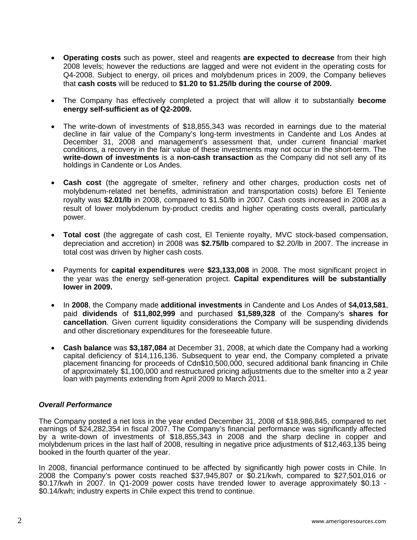- **Operating costs** such as power, steel and reagents **are expected to decrease** from their high 2008 levels; however the reductions are lagged and were not evident in the operating costs for Q4-2008. Subject to energy, oil prices and molybdenum prices in 2009, the Company believes that **cash costs** will be reduced to **\$1.20 to \$1.25/lb during the course of 2009.**
- The Company has effectively completed a project that will allow it to substantially **become energy self-sufficient as of Q2-2009.**
- The write-down of investments of \$18,855,343 was recorded in earnings due to the material decline in fair value of the Company's long-term investments in Candente and Los Andes at December 31, 2008 and management's assessment that, under current financial market conditions, a recovery in the fair value of these investments may not occur in the short-term. The **write-down of investments** is a **non-cash transaction** as the Company did not sell any of its holdings in Candente or Los Andes.
- **Cash cost** (the aggregate of smelter, refinery and other charges, production costs net of molybdenum-related net benefits, administration and transportation costs) before El Teniente royalty was **\$2.01/lb** in 2008, compared to \$1.50/lb in 2007. Cash costs increased in 2008 as a result of lower molybdenum by-product credits and higher operating costs overall, particularly power.
- **Total cost** (the aggregate of cash cost, El Teniente royalty, MVC stock-based compensation, depreciation and accretion) in 2008 was **\$2.75/lb** compared to \$2.20/lb in 2007. The increase in total cost was driven by higher cash costs.
- Payments for **capital expenditures** were **\$23,133,008** in 2008. The most significant project in the year was the energy self-generation project. **Capital expenditures will be substantially lower in 2009.**
- In **2008**, the Company made **additional investments** in Candente and Los Andes of \$**4,013,581**, paid **dividends** of **\$11,802,999** and purchased **\$1,589,328** of the Company's **shares for cancellation**. Given current liquidity considerations the Company will be suspending dividends and other discretionary expenditures for the foreseeable future.
- **Cash balance** was **\$3,187,084** at December 31, 2008, at which date the Company had a working capital deficiency of \$14,116,136. Subsequent to year end, the Company completed a private placement financing for proceeds of Cdn\$10,500,000, secured additional bank financing in Chile of approximately \$1,100,000 and restructured pricing adjustments due to the smelter into a 2 year loan with payments extending from April 2009 to March 2011.

### *Overall Performance*

The Company posted a net loss in the year ended December 31, 2008 of \$18,986,845, compared to net earnings of \$24,282,354 in fiscal 2007. The Company's financial performance was significantly affected by a write-down of investments of \$18,855,343 in 2008 and the sharp decline in copper and molybdenum prices in the last half of 2008, resulting in negative price adjustments of \$12,463,135 being booked in the fourth quarter of the year.

In 2008, financial performance continued to be affected by significantly high power costs in Chile. In 2008 the Company's power costs reached \$37,945,807 or \$0.21/kwh, compared to \$27,501,016 or \$0.17/kwh in 2007. In Q1-2009 power costs have trended lower to average approximately \$0.13 - \$0.14/kwh; industry experts in Chile expect this trend to continue.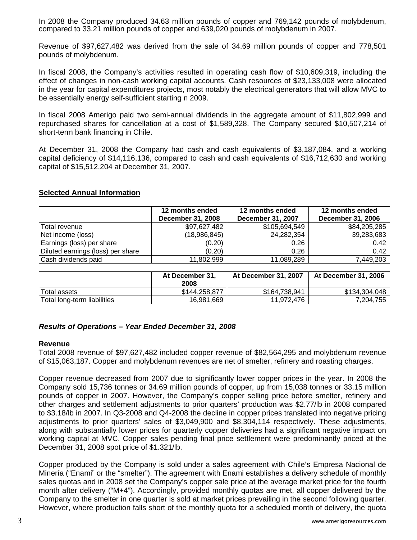In 2008 the Company produced 34.63 million pounds of copper and 769,142 pounds of molybdenum, compared to 33.21 million pounds of copper and 639,020 pounds of molybdenum in 2007.

Revenue of \$97,627,482 was derived from the sale of 34.69 million pounds of copper and 778,501 pounds of molybdenum.

In fiscal 2008, the Company's activities resulted in operating cash flow of \$10,609,319, including the effect of changes in non-cash working capital accounts. Cash resources of \$23,133,008 were allocated in the year for capital expenditures projects, most notably the electrical generators that will allow MVC to be essentially energy self-sufficient starting n 2009.

In fiscal 2008 Amerigo paid two semi-annual dividends in the aggregate amount of \$11,802,999 and repurchased shares for cancellation at a cost of \$1,589,328. The Company secured \$10,507,214 of short-term bank financing in Chile.

At December 31, 2008 the Company had cash and cash equivalents of \$3,187,084, and a working capital deficiency of \$14,116,136, compared to cash and cash equivalents of \$16,712,630 and working capital of \$15,512,204 at December 31, 2007.

### **Selected Annual Information**

|                                   | 12 months ended          | 12 months ended   | 12 months ended   |
|-----------------------------------|--------------------------|-------------------|-------------------|
|                                   | <b>December 31, 2008</b> | December 31, 2007 | December 31, 2006 |
| Total revenue                     | \$97,627,482             | \$105,694,549     | \$84,205,285      |
| Net income (loss)                 | (18,986,845)             | 24,282,354        | 39,283,683        |
| Earnings (loss) per share         | (0.20)                   | 0.26              | 0.42              |
| Diluted earnings (loss) per share | (0.20)                   | 0.26              | 0.42              |
| Cash dividends paid               | 11,802,999               | 11,089,289        | 7,449,203         |

|                             | At December 31,<br>2008 | <b>At December 31, 2007</b> | <b>At December 31, 2006</b> |
|-----------------------------|-------------------------|-----------------------------|-----------------------------|
| l Total assets              | \$144.258.877           | \$164,738,941               | \$134,304,048               |
| Total long-term liabilities | 16.981.669              | 11.972.476                  | 7,204,755                   |

# *Results of Operations – Year Ended December 31, 2008*

#### **Revenue**

Total 2008 revenue of \$97,627,482 included copper revenue of \$82,564,295 and molybdenum revenue of \$15,063,187. Copper and molybdenum revenues are net of smelter, refinery and roasting charges.

Copper revenue decreased from 2007 due to significantly lower copper prices in the year. In 2008 the Company sold 15,736 tonnes or 34.69 million pounds of copper, up from 15,038 tonnes or 33.15 million pounds of copper in 2007. However, the Company's copper selling price before smelter, refinery and other charges and settlement adjustments to prior quarters' production was \$2.77/lb in 2008 compared to \$3.18/lb in 2007. In Q3-2008 and Q4-2008 the decline in copper prices translated into negative pricing adjustments to prior quarters' sales of \$3,049,900 and \$8,304,114 respectively. These adjustments, along with substantially lower prices for quarterly copper deliveries had a significant negative impact on working capital at MVC. Copper sales pending final price settlement were predominantly priced at the December 31, 2008 spot price of \$1.321/lb.

Copper produced by the Company is sold under a sales agreement with Chile's Empresa Nacional de Minería ("Enami" or the "smelter"). The agreement with Enami establishes a delivery schedule of monthly sales quotas and in 2008 set the Company's copper sale price at the average market price for the fourth month after delivery ("M+4"). Accordingly, provided monthly quotas are met, all copper delivered by the Company to the smelter in one quarter is sold at market prices prevailing in the second following quarter. However, where production falls short of the monthly quota for a scheduled month of delivery, the quota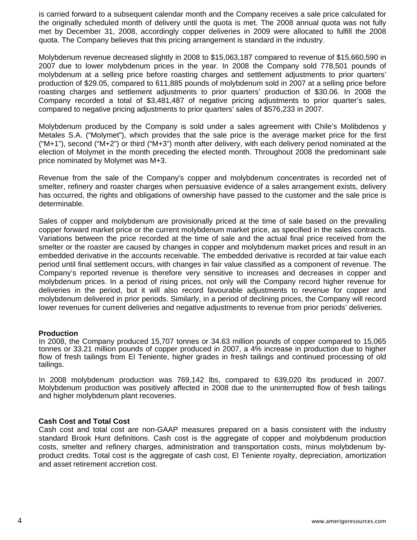is carried forward to a subsequent calendar month and the Company receives a sale price calculated for the originally scheduled month of delivery until the quota is met. The 2008 annual quota was not fully met by December 31, 2008, accordingly copper deliveries in 2009 were allocated to fulfill the 2008 quota. The Company believes that this pricing arrangement is standard in the industry.

Molybdenum revenue decreased slightly in 2008 to \$15,063,187 compared to revenue of \$15,660,590 in 2007 due to lower molybdenum prices in the year. In 2008 the Company sold 778,501 pounds of molybdenum at a selling price before roasting charges and settlement adjustments to prior quarters' production of \$29.05, compared to 611,885 pounds of molybdenum sold in 2007 at a selling price before roasting charges and settlement adjustments to prior quarters' production of \$30.06. In 2008 the Company recorded a total of \$3,481,487 of negative pricing adjustments to prior quarter's sales, compared to negative pricing adjustments to prior quarters' sales of \$576,233 in 2007.

Molybdenum produced by the Company is sold under a sales agreement with Chile's Molibdenos y Metales S.A. ("Molymet"), which provides that the sale price is the average market price for the first ("M+1"), second ("M+2") or third ("M+3") month after delivery, with each delivery period nominated at the election of Molymet in the month preceding the elected month. Throughout 2008 the predominant sale price nominated by Molymet was M+3.

Revenue from the sale of the Company's copper and molybdenum concentrates is recorded net of smelter, refinery and roaster charges when persuasive evidence of a sales arrangement exists, delivery has occurred, the rights and obligations of ownership have passed to the customer and the sale price is determinable.

Sales of copper and molybdenum are provisionally priced at the time of sale based on the prevailing copper forward market price or the current molybdenum market price, as specified in the sales contracts. Variations between the price recorded at the time of sale and the actual final price received from the smelter or the roaster are caused by changes in copper and molybdenum market prices and result in an embedded derivative in the accounts receivable. The embedded derivative is recorded at fair value each period until final settlement occurs, with changes in fair value classified as a component of revenue. The Company's reported revenue is therefore very sensitive to increases and decreases in copper and molybdenum prices. In a period of rising prices, not only will the Company record higher revenue for deliveries in the period, but it will also record favourable adjustments to revenue for copper and molybdenum delivered in prior periods. Similarly, in a period of declining prices, the Company will record lower revenues for current deliveries and negative adjustments to revenue from prior periods' deliveries.

### **Production**

In 2008, the Company produced 15,707 tonnes or 34.63 million pounds of copper compared to 15,065 tonnes or 33.21 million pounds of copper produced in 2007, a 4% increase in production due to higher flow of fresh tailings from El Teniente, higher grades in fresh tailings and continued processing of old tailings.

In 2008 molybdenum production was 769,142 lbs, compared to 639,020 lbs produced in 2007. Molybdenum production was positively affected in 2008 due to the uninterrupted flow of fresh tailings and higher molybdenum plant recoveries.

### **Cash Cost and Total Cost**

Cash cost and total cost are non-GAAP measures prepared on a basis consistent with the industry standard Brook Hunt definitions. Cash cost is the aggregate of copper and molybdenum production costs, smelter and refinery charges, administration and transportation costs, minus molybdenum byproduct credits. Total cost is the aggregate of cash cost, El Teniente royalty, depreciation, amortization and asset retirement accretion cost.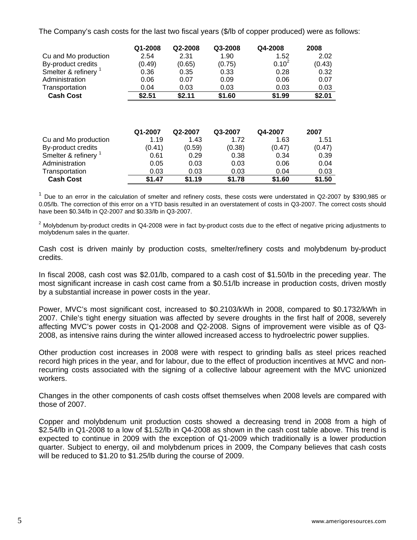The Company's cash costs for the last two fiscal years (\$/lb of copper produced) were as follows:

|                                 | Q1-2008 | Q2-2008 | Q3-2008 | Q4-2008           | 2008   |
|---------------------------------|---------|---------|---------|-------------------|--------|
| Cu and Mo production            | 2.54    | 2.31    | 1.90    | 1.52              | 2.02   |
| By-product credits              | (0.49)  | (0.65)  | (0.75)  | 0.10 <sup>2</sup> | (0.43) |
| Smelter & refinery <sup>1</sup> | 0.36    | 0.35    | 0.33    | 0.28              | 0.32   |
| Administration                  | 0.06    | 0.07    | 0.09    | 0.06              | 0.07   |
| Transportation                  | 0.04    | 0.03    | 0.03    | 0.03              | 0.03   |
| <b>Cash Cost</b>                | \$2.51  | \$2.11  | \$1.60  | \$1.99            | \$2.01 |
|                                 | Q1-2007 | Q2-2007 | Q3-2007 | Q4-2007           | 2007   |
| Cu and Mo production            | 1.19    | 1.43    | 1.72    | 1.63              | 1.51   |
| By-product credits              | (0.41)  | (0.59)  | (0.38)  | (0.47)            | (0.47) |
| Smelter & refinery <sup>1</sup> | 0.61    | 0.29    | 0.38    | 0.34              | 0.39   |
| Administration                  | 0.05    | 0.03    | 0.03    | 0.06              | 0.04   |
| Transportation                  | 0.03    | 0.03    | 0.03    | 0.04              | 0.03   |
| <b>Cash Cost</b>                | \$1.47  | \$1.19  | \$1.78  | \$1.60            | \$1.50 |

 $1$  Due to an error in the calculation of smelter and refinery costs, these costs were understated in Q2-2007 by \$390,985 or 0.05/lb. The correction of this error on a YTD basis resulted in an overstatement of costs in Q3-2007. The correct costs should have been \$0.34/lb in Q2-2007 and \$0.33/lb in Q3-2007.

 $2$  Molybdenum by-product credits in Q4-2008 were in fact by-product costs due to the effect of negative pricing adjustments to molybdenum sales in the quarter.

Cash cost is driven mainly by production costs, smelter/refinery costs and molybdenum by-product credits.

In fiscal 2008, cash cost was \$2.01/lb, compared to a cash cost of \$1.50/lb in the preceding year. The most significant increase in cash cost came from a \$0.51/lb increase in production costs, driven mostly by a substantial increase in power costs in the year.

Power, MVC's most significant cost, increased to \$0.2103/kWh in 2008, compared to \$0.1732/kWh in 2007. Chile's tight energy situation was affected by severe droughts in the first half of 2008, severely affecting MVC's power costs in Q1-2008 and Q2-2008. Signs of improvement were visible as of Q3- 2008, as intensive rains during the winter allowed increased access to hydroelectric power supplies.

Other production cost increases in 2008 were with respect to grinding balls as steel prices reached record high prices in the year, and for labour, due to the effect of production incentives at MVC and nonrecurring costs associated with the signing of a collective labour agreement with the MVC unionized workers.

Changes in the other components of cash costs offset themselves when 2008 levels are compared with those of 2007.

Copper and molybdenum unit production costs showed a decreasing trend in 2008 from a high of \$2.54/lb in Q1-2008 to a low of \$1.52/lb in Q4-2008 as shown in the cash cost table above. This trend is expected to continue in 2009 with the exception of Q1-2009 which traditionally is a lower production quarter. Subject to energy, oil and molybdenum prices in 2009, the Company believes that cash costs will be reduced to \$1.20 to \$1.25/lb during the course of 2009.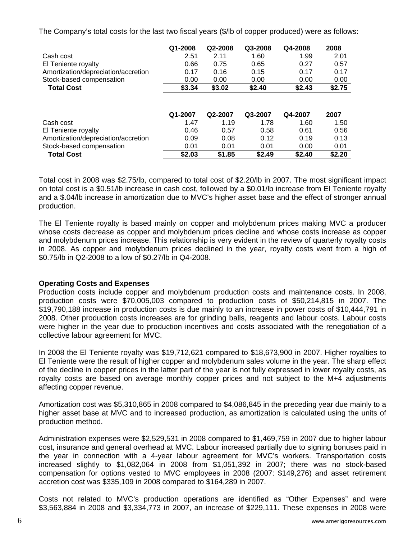The Company's total costs for the last two fiscal years (\$/lb of copper produced) were as follows:

|                                     | Q1-2008 | Q2-2008 | Q3-2008 | Q4-2008 | 2008   |
|-------------------------------------|---------|---------|---------|---------|--------|
| Cash cost                           | 2.51    | 2.11    | 1.60    | 1.99    | 2.01   |
| El Teniente royalty                 | 0.66    | 0.75    | 0.65    | 0.27    | 0.57   |
| Amortization/depreciation/accretion | 0.17    | 0.16    | 0.15    | 0.17    | 0.17   |
| Stock-based compensation            | 0.00    | 0.00    | 0.00    | 0.00    | 0.00   |
| <b>Total Cost</b>                   | \$3.34  | \$3.02  | \$2.40  | \$2.43  | \$2.75 |
|                                     | Q1-2007 | Q2-2007 | Q3-2007 | Q4-2007 | 2007   |
| Cash cost                           | 1.47    | 1.19    | 1.78    | 1.60    | 1.50   |
| El Teniente royalty                 | 0.46    | 0.57    | 0.58    | 0.61    | 0.56   |
| Amortization/depreciation/accretion | 0.09    | 0.08    | 0.12    | 0.19    | 0.13   |
| Stock-based compensation            | 0.01    | 0.01    | 0.01    | 0.00    | 0.01   |
| <b>Total Cost</b>                   | \$2.03  | \$1.85  | \$2.49  | \$2.40  | \$2.20 |

Total cost in 2008 was \$2.75/lb, compared to total cost of \$2.20/lb in 2007. The most significant impact on total cost is a \$0.51/lb increase in cash cost, followed by a \$0.01/lb increase from El Teniente royalty and a \$.04/lb increase in amortization due to MVC's higher asset base and the effect of stronger annual production.

The El Teniente royalty is based mainly on copper and molybdenum prices making MVC a producer whose costs decrease as copper and molybdenum prices decline and whose costs increase as copper and molybdenum prices increase. This relationship is very evident in the review of quarterly royalty costs in 2008. As copper and molybdenum prices declined in the year, royalty costs went from a high of \$0.75/lb in Q2-2008 to a low of \$0.27/lb in Q4-2008.

### **Operating Costs and Expenses**

Production costs include copper and molybdenum production costs and maintenance costs. In 2008, production costs were \$70,005,003 compared to production costs of \$50,214,815 in 2007. The \$19,790,188 increase in production costs is due mainly to an increase in power costs of \$10,444,791 in 2008. Other production costs increases are for grinding balls, reagents and labour costs. Labour costs were higher in the year due to production incentives and costs associated with the renegotiation of a collective labour agreement for MVC.

In 2008 the El Teniente royalty was \$19,712,621 compared to \$18,673,900 in 2007. Higher royalties to El Teniente were the result of higher copper and molybdenum sales volume in the year. The sharp effect of the decline in copper prices in the latter part of the year is not fully expressed in lower royalty costs, as royalty costs are based on average monthly copper prices and not subject to the M+4 adjustments affecting copper revenue.

Amortization cost was \$5,310,865 in 2008 compared to \$4,086,845 in the preceding year due mainly to a higher asset base at MVC and to increased production, as amortization is calculated using the units of production method.

Administration expenses were \$2,529,531 in 2008 compared to \$1,469,759 in 2007 due to higher labour cost, insurance and general overhead at MVC. Labour increased partially due to signing bonuses paid in the year in connection with a 4-year labour agreement for MVC's workers. Transportation costs increased slightly to \$1,082,064 in 2008 from \$1,051,392 in 2007; there was no stock-based compensation for options vested to MVC employees in 2008 (2007: \$149,276) and asset retirement accretion cost was \$335,109 in 2008 compared to \$164,289 in 2007.

Costs not related to MVC's production operations are identified as "Other Expenses" and were \$3,563,884 in 2008 and \$3,334,773 in 2007, an increase of \$229,111. These expenses in 2008 were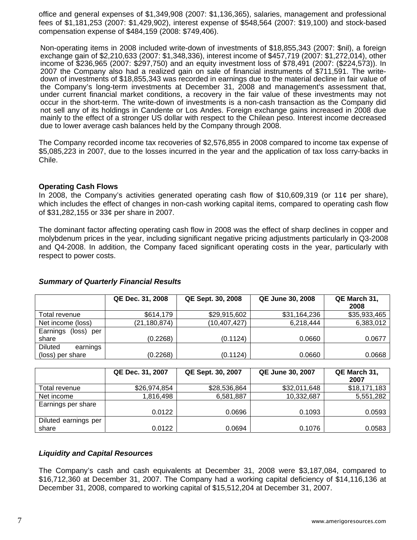office and general expenses of \$1,349,908 (2007: \$1,136,365), salaries, management and professional fees of \$1,181,253 (2007: \$1,429,902), interest expense of \$548,564 (2007: \$19,100) and stock-based compensation expense of \$484,159 (2008: \$749,406).

Non-operating items in 2008 included write-down of investments of \$18,855,343 (2007: \$nil), a foreign exchange gain of \$2,210,633 (2007: \$1,348,336), interest income of \$457,719 (2007: \$1,272,014), other income of \$236,965 (2007: \$297,750) and an equity investment loss of \$78,491 (2007: (\$224,573)). In 2007 the Company also had a realized gain on sale of financial instruments of \$711,591. The writedown of investments of \$18,855,343 was recorded in earnings due to the material decline in fair value of the Company's long-term investments at December 31, 2008 and management's assessment that, under current financial market conditions, a recovery in the fair value of these investments may not occur in the short-term. The write-down of investments is a non-cash transaction as the Company did not sell any of its holdings in Candente or Los Andes. Foreign exchange gains increased in 2008 due mainly to the effect of a stronger US dollar with respect to the Chilean peso. Interest income decreased due to lower average cash balances held by the Company through 2008.

The Company recorded income tax recoveries of \$2,576,855 in 2008 compared to income tax expense of \$5,085,223 in 2007, due to the losses incurred in the year and the application of tax loss carry-backs in Chile.

### **Operating Cash Flows**

In 2008, the Company's activities generated operating cash flow of \$10,609,319 (or 11 $\phi$  per share), which includes the effect of changes in non-cash working capital items, compared to operating cash flow of \$31,282,155 or 33¢ per share in 2007.

The dominant factor affecting operating cash flow in 2008 was the effect of sharp declines in copper and molybdenum prices in the year, including significant negative pricing adjustments particularly in Q3-2008 and Q4-2008. In addition, the Company faced significant operating costs in the year, particularly with respect to power costs.

|                           | QE Dec. 31, 2008 | QE Sept. 30, 2008 | <b>QE June 30, 2008</b> | QE March 31,<br>2008 |
|---------------------------|------------------|-------------------|-------------------------|----------------------|
| Total revenue             | \$614,179        | \$29,915,602      | \$31,164,236            | \$35,933,465         |
| Net income (loss)         | (21, 180, 874)   | (10, 407, 427)    | 6,218,444               | 6,383,012            |
| (loss)<br>Earnings<br>per |                  |                   |                         |                      |
| share                     | (0.2268)         | (0.1124)          | 0.0660                  | 0.0677               |
| Diluted<br>earnings       |                  |                   |                         |                      |
| (loss) per share          | (0.2268)         | (0.1124)          | 0.0660                  | 0.0668               |

### *Summary of Quarterly Financial Results*

|                      | QE Dec. 31, 2007 | QE Sept. 30, 2007 | <b>QE June 30, 2007</b> | QE March 31,<br>2007 |
|----------------------|------------------|-------------------|-------------------------|----------------------|
| Total revenue        | \$26,974,854     | \$28,536,864      | \$32,011,648            | \$18,171,183         |
| Net income           | 1,816,498        | 6,581,887         | 10,332,687              | 5,551,282            |
| Earnings per share   |                  |                   |                         |                      |
|                      | 0.0122           | 0.0696            | 0.1093                  | 0.0593               |
| Diluted earnings per |                  |                   |                         |                      |
| share                | 0.0122           | 0.0694            | 0.1076                  | 0.0583               |

# *Liquidity and Capital Resources*

The Company's cash and cash equivalents at December 31, 2008 were \$3,187,084, compared to \$16,712,360 at December 31, 2007. The Company had a working capital deficiency of \$14,116,136 at December 31, 2008, compared to working capital of \$15,512,204 at December 31, 2007.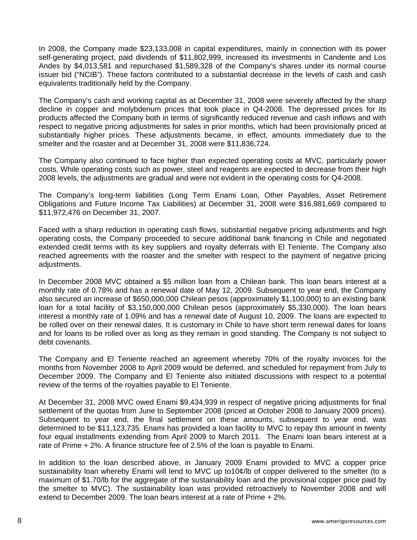In 2008, the Company made \$23,133,008 in capital expenditures, mainly in connection with its power self-generating project, paid dividends of \$11,802,999, increased its investments in Candente and Los Andes by \$4,013,581 and repurchased \$1,589,328 of the Company's shares under its normal course issuer bid ("NCIB"). These factors contributed to a substantial decrease in the levels of cash and cash equivalents traditionally held by the Company.

The Company's cash and working capital as at December 31, 2008 were severely affected by the sharp decline in copper and molybdenum prices that took place in Q4-2008. The depressed prices for its products affected the Company both in terms of significantly reduced revenue and cash inflows and with respect to negative pricing adjustments for sales in prior months, which had been provisionally priced at substantially higher prices. These adjustments became, in effect, amounts immediately due to the smelter and the roaster and at December 31, 2008 were \$11,836,724.

The Company also continued to face higher than expected operating costs at MVC, particularly power costs. While operating costs such as power, steel and reagents are expected to decrease from their high 2008 levels, the adjustments are gradual and were not evident in the operating costs for Q4-2008.

The Company's long-term liabilities (Long Term Enami Loan, Other Payables, Asset Retirement Obligations and Future Income Tax Liabilities) at December 31, 2008 were \$16,981,669 compared to \$11,972,476 on December 31, 2007.

Faced with a sharp reduction in operating cash flows, substantial negative pricing adjustments and high operating costs, the Company proceeded to secure additional bank financing in Chile and negotiated extended credit terms with its key suppliers and royalty deferrals with El Teniente. The Company also reached agreements with the roaster and the smelter with respect to the payment of negative pricing adiustments.

In December 2008 MVC obtained a \$5 million loan from a Chilean bank. This loan bears interest at a monthly rate of 0.78% and has a renewal date of May 12, 2009. Subsequent to year end, the Company also secured an increase of \$650,000,000 Chilean pesos (approximately \$1,100,000) to an existing bank loan for a total facility of \$3,150,000,000 Chilean pesos (approximately \$5,330,000). The loan bears interest a monthly rate of 1.09% and has a renewal date of August 10, 2009. The loans are expected to be rolled over on their renewal dates. It is customary in Chile to have short term renewal dates for loans and for loans to be rolled over as long as they remain in good standing. The Company is not subject to debt covenants.

The Company and El Teniente reached an agreement whereby 70% of the royalty invoices for the months from November 2008 to April 2009 would be deferred, and scheduled for repayment from July to December 2009. The Company and El Teniente also initiated discussions with respect to a potential review of the terms of the royalties payable to El Teniente.

At December 31, 2008 MVC owed Enami \$9,434,939 in respect of negative pricing adjustments for final settlement of the quotas from June to September 2008 (priced at October 2008 to January 2009 prices). Subsequent to year end, the final settlement on these amounts, subsequent to year end, was determined to be \$11,123,735. Enami has provided a loan facility to MVC to repay this amount in twenty four equal installments extending from April 2009 to March 2011. The Enami loan bears interest at a rate of Prime + 2%. A finance structure fee of 2.5% of the loan is payable to Enami.

In addition to the loan described above, in January 2009 Enami provided to MVC a copper price sustainability loan whereby Enami will lend to MVC up to10¢/lb of copper delivered to the smelter (to a maximum of \$1.70/lb for the aggregate of the sustainability loan and the provisional copper price paid by the smelter to MVC). The sustainability loan was provided retroactively to November 2008 and will extend to December 2009. The loan bears interest at a rate of Prime + 2%.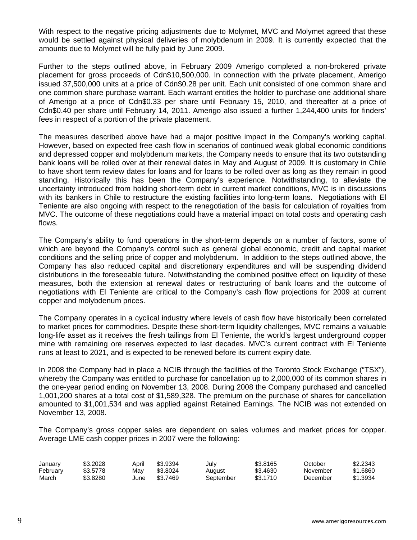With respect to the negative pricing adjustments due to Molymet, MVC and Molymet agreed that these would be settled against physical deliveries of molybdenum in 2009. It is currently expected that the amounts due to Molymet will be fully paid by June 2009.

Further to the steps outlined above, in February 2009 Amerigo completed a non-brokered private placement for gross proceeds of Cdn\$10,500,000. In connection with the private placement, Amerigo issued 37,500,000 units at a price of Cdn\$0.28 per unit. Each unit consisted of one common share and one common share purchase warrant. Each warrant entitles the holder to purchase one additional share of Amerigo at a price of Cdn\$0.33 per share until February 15, 2010, and thereafter at a price of Cdn\$0.40 per share until February 14, 2011. Amerigo also issued a further 1,244,400 units for finders' fees in respect of a portion of the private placement.

The measures described above have had a major positive impact in the Company's working capital. However, based on expected free cash flow in scenarios of continued weak global economic conditions and depressed copper and molybdenum markets, the Company needs to ensure that its two outstanding bank loans will be rolled over at their renewal dates in May and August of 2009. It is customary in Chile to have short term review dates for loans and for loans to be rolled over as long as they remain in good standing. Historically this has been the Company's experience. Notwithstanding, to alleviate the uncertainty introduced from holding short-term debt in current market conditions, MVC is in discussions with its bankers in Chile to restructure the existing facilities into long-term loans. Negotiations with El Teniente are also ongoing with respect to the renegotiation of the basis for calculation of royalties from MVC. The outcome of these negotiations could have a material impact on total costs and operating cash flows.

The Company's ability to fund operations in the short-term depends on a number of factors, some of which are beyond the Company's control such as general global economic, credit and capital market conditions and the selling price of copper and molybdenum. In addition to the steps outlined above, the Company has also reduced capital and discretionary expenditures and will be suspending dividend distributions in the foreseeable future. Notwithstanding the combined positive effect on liquidity of these measures, both the extension at renewal dates or restructuring of bank loans and the outcome of negotiations with El Teniente are critical to the Company's cash flow projections for 2009 at current copper and molybdenum prices.

The Company operates in a cyclical industry where levels of cash flow have historically been correlated to market prices for commodities. Despite these short-term liquidity challenges, MVC remains a valuable long-life asset as it receives the fresh tailings from El Teniente, the world's largest underground copper mine with remaining ore reserves expected to last decades. MVC's current contract with El Teniente runs at least to 2021, and is expected to be renewed before its current expiry date.

In 2008 the Company had in place a NCIB through the facilities of the Toronto Stock Exchange ("TSX"), whereby the Company was entitled to purchase for cancellation up to 2,000,000 of its common shares in the one-year period ending on November 13, 2008. During 2008 the Company purchased and cancelled 1,001,200 shares at a total cost of \$1,589,328. The premium on the purchase of shares for cancellation amounted to \$1,001,534 and was applied against Retained Earnings. The NCIB was not extended on November 13, 2008.

The Company's gross copper sales are dependent on sales volumes and market prices for copper. Average LME cash copper prices in 2007 were the following:

| January  | \$3,2028 | April | \$3.9394 | July      | \$3.8165 | October  | \$2.2343 |
|----------|----------|-------|----------|-----------|----------|----------|----------|
| Februarv | \$3,5778 | Mav   | \$3,8024 | August    | \$3.4630 | November | \$1,6860 |
| March    | \$3.8280 | June  | \$3.7469 | September | \$3.1710 | December | \$1.3934 |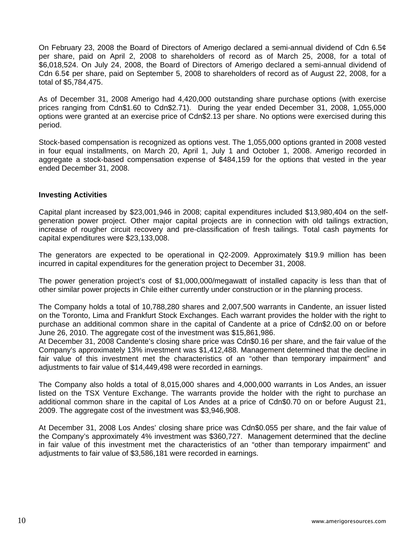On February 23, 2008 the Board of Directors of Amerigo declared a semi-annual dividend of Cdn 6.5¢ per share, paid on April 2, 2008 to shareholders of record as of March 25, 2008, for a total of \$6,018,524. On July 24, 2008, the Board of Directors of Amerigo declared a semi-annual dividend of Cdn 6.5¢ per share, paid on September 5, 2008 to shareholders of record as of August 22, 2008, for a total of \$5,784,475.

As of December 31, 2008 Amerigo had 4,420,000 outstanding share purchase options (with exercise prices ranging from Cdn\$1.60 to Cdn\$2.71). During the year ended December 31, 2008, 1,055,000 options were granted at an exercise price of Cdn\$2.13 per share. No options were exercised during this period.

Stock-based compensation is recognized as options vest. The 1,055,000 options granted in 2008 vested in four equal installments, on March 20, April 1, July 1 and October 1, 2008. Amerigo recorded in aggregate a stock-based compensation expense of \$484,159 for the options that vested in the year ended December 31, 2008.

### **Investing Activities**

Capital plant increased by \$23,001,946 in 2008; capital expenditures included \$13,980,404 on the selfgeneration power project. Other major capital projects are in connection with old tailings extraction, increase of rougher circuit recovery and pre-classification of fresh tailings. Total cash payments for capital expenditures were \$23,133,008.

The generators are expected to be operational in Q2-2009. Approximately \$19.9 million has been incurred in capital expenditures for the generation project to December 31, 2008.

The power generation project's cost of \$1,000,000/megawatt of installed capacity is less than that of other similar power projects in Chile either currently under construction or in the planning process.

The Company holds a total of 10,788,280 shares and 2,007,500 warrants in Candente, an issuer listed on the Toronto, Lima and Frankfurt Stock Exchanges. Each warrant provides the holder with the right to purchase an additional common share in the capital of Candente at a price of Cdn\$2.00 on or before June 26, 2010. The aggregate cost of the investment was \$15,861,986.

At December 31, 2008 Candente's closing share price was Cdn\$0.16 per share, and the fair value of the Company's approximately 13% investment was \$1,412,488. Management determined that the decline in fair value of this investment met the characteristics of an "other than temporary impairment" and adjustments to fair value of \$14,449,498 were recorded in earnings.

The Company also holds a total of 8,015,000 shares and 4,000,000 warrants in Los Andes, an issuer listed on the TSX Venture Exchange. The warrants provide the holder with the right to purchase an additional common share in the capital of Los Andes at a price of Cdn\$0.70 on or before August 21, 2009. The aggregate cost of the investment was \$3,946,908.

At December 31, 2008 Los Andes' closing share price was Cdn\$0.055 per share, and the fair value of the Company's approximately 4% investment was \$360,727. Management determined that the decline in fair value of this investment met the characteristics of an "other than temporary impairment" and adjustments to fair value of \$3,586,181 were recorded in earnings.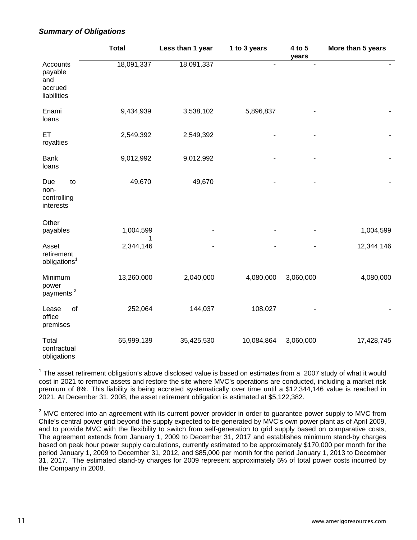|                                                      | <b>Total</b>   | Less than 1 year | 1 to 3 years | 4 to 5<br>years | More than 5 years |
|------------------------------------------------------|----------------|------------------|--------------|-----------------|-------------------|
| Accounts<br>payable<br>and<br>accrued<br>liabilities | 18,091,337     | 18,091,337       |              |                 |                   |
| Enami<br>loans                                       | 9,434,939      | 3,538,102        | 5,896,837    |                 |                   |
| ET<br>royalties                                      | 2,549,392      | 2,549,392        |              |                 |                   |
| <b>Bank</b><br>loans                                 | 9,012,992      | 9,012,992        |              |                 |                   |
| to<br>Due<br>non-<br>controlling<br>interests        | 49,670         | 49,670           |              |                 |                   |
| Other<br>payables                                    | 1,004,599<br>1 |                  |              |                 | 1,004,599         |
| Asset<br>retirement<br>obligations <sup>1</sup>      | 2,344,146      |                  |              |                 | 12,344,146        |
| Minimum<br>power<br>payments $^2$                    | 13,260,000     | 2,040,000        | 4,080,000    | 3,060,000       | 4,080,000         |
| of<br>Lease<br>office<br>premises                    | 252,064        | 144,037          | 108,027      |                 |                   |
| Total<br>contractual<br>obligations                  | 65,999,139     | 35,425,530       | 10,084,864   | 3,060,000       | 17,428,745        |

### *Summary of Obligations*

 $1$  The asset retirement obligation's above disclosed value is based on estimates from a 2007 study of what it would cost in 2021 to remove assets and restore the site where MVC's operations are conducted, including a market risk premium of 8%. This liability is being accreted systematically over time until a \$12,344,146 value is reached in 2021. At December 31, 2008, the asset retirement obligation is estimated at \$5,122,382.

 $2$  MVC entered into an agreement with its current power provider in order to guarantee power supply to MVC from Chile's central power grid beyond the supply expected to be generated by MVC's own power plant as of April 2009, and to provide MVC with the flexibility to switch from self-generation to grid supply based on comparative costs, The agreement extends from January 1, 2009 to December 31, 2017 and establishes minimum stand-by charges based on peak hour power supply calculations, currently estimated to be approximately \$170,000 per month for the period January 1, 2009 to December 31, 2012, and \$85,000 per month for the period January 1, 2013 to December 31, 2017. The estimated stand-by charges for 2009 represent approximately 5% of total power costs incurred by the Company in 2008.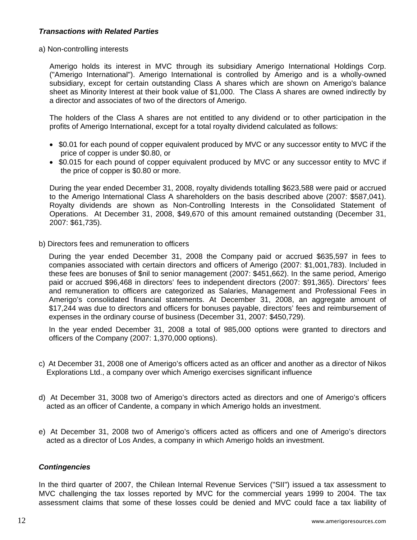# *Transactions with Related Parties*

a) Non-controlling interests

Amerigo holds its interest in MVC through its subsidiary Amerigo International Holdings Corp. ("Amerigo International"). Amerigo International is controlled by Amerigo and is a wholly-owned subsidiary, except for certain outstanding Class A shares which are shown on Amerigo's balance sheet as Minority Interest at their book value of \$1,000. The Class A shares are owned indirectly by a director and associates of two of the directors of Amerigo.

The holders of the Class A shares are not entitled to any dividend or to other participation in the profits of Amerigo International, except for a total royalty dividend calculated as follows:

- \$0.01 for each pound of copper equivalent produced by MVC or any successor entity to MVC if the price of copper is under \$0.80, or
- \$0.015 for each pound of copper equivalent produced by MVC or any successor entity to MVC if the price of copper is \$0.80 or more.

During the year ended December 31, 2008, royalty dividends totalling \$623,588 were paid or accrued to the Amerigo International Class A shareholders on the basis described above (2007: \$587,041). Royalty dividends are shown as Non-Controlling Interests in the Consolidated Statement of Operations. At December 31, 2008, \$49,670 of this amount remained outstanding (December 31, 2007: \$61,735).

b) Directors fees and remuneration to officers

During the year ended December 31, 2008 the Company paid or accrued \$635,597 in fees to companies associated with certain directors and officers of Amerigo (2007: \$1,001,783). Included in these fees are bonuses of \$nil to senior management (2007: \$451,662). In the same period, Amerigo paid or accrued \$96,468 in directors' fees to independent directors (2007: \$91,365). Directors' fees and remuneration to officers are categorized as Salaries, Management and Professional Fees in Amerigo's consolidated financial statements. At December 31, 2008, an aggregate amount of \$17,244 was due to directors and officers for bonuses payable, directors' fees and reimbursement of expenses in the ordinary course of business (December 31, 2007: \$450,729).

In the year ended December 31, 2008 a total of 985,000 options were granted to directors and officers of the Company (2007: 1,370,000 options).

- c) At December 31, 2008 one of Amerigo's officers acted as an officer and another as a director of Nikos Explorations Ltd., a company over which Amerigo exercises significant influence
- d) At December 31, 3008 two of Amerigo's directors acted as directors and one of Amerigo's officers acted as an officer of Candente, a company in which Amerigo holds an investment.
- e) At December 31, 2008 two of Amerigo's officers acted as officers and one of Amerigo's directors acted as a director of Los Andes, a company in which Amerigo holds an investment.

# *Contingencies*

In the third quarter of 2007, the Chilean Internal Revenue Services ("SII") issued a tax assessment to MVC challenging the tax losses reported by MVC for the commercial years 1999 to 2004. The tax assessment claims that some of these losses could be denied and MVC could face a tax liability of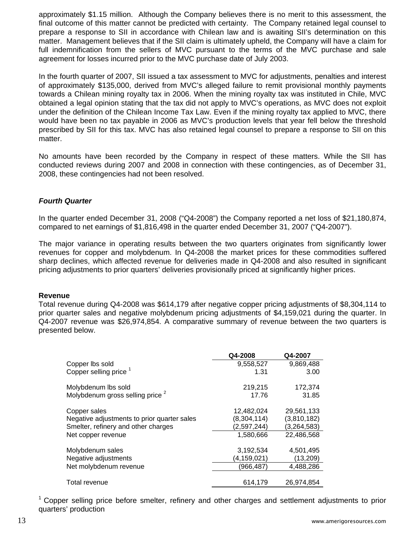approximately \$1.15 million. Although the Company believes there is no merit to this assessment, the final outcome of this matter cannot be predicted with certainty. The Company retained legal counsel to prepare a response to SII in accordance with Chilean law and is awaiting SII's determination on this matter. Management believes that if the SII claim is ultimately upheld, the Company will have a claim for full indemnification from the sellers of MVC pursuant to the terms of the MVC purchase and sale agreement for losses incurred prior to the MVC purchase date of July 2003.

In the fourth quarter of 2007, SII issued a tax assessment to MVC for adjustments, penalties and interest of approximately \$135,000, derived from MVC's alleged failure to remit provisional monthly payments towards a Chilean mining royalty tax in 2006. When the mining royalty tax was instituted in Chile, MVC obtained a legal opinion stating that the tax did not apply to MVC's operations, as MVC does not exploit under the definition of the Chilean Income Tax Law. Even if the mining royalty tax applied to MVC, there would have been no tax payable in 2006 as MVC's production levels that year fell below the threshold prescribed by SII for this tax. MVC has also retained legal counsel to prepare a response to SII on this matter.

No amounts have been recorded by the Company in respect of these matters. While the SII has conducted reviews during 2007 and 2008 in connection with these contingencies, as of December 31, 2008, these contingencies had not been resolved.

### *Fourth Quarter*

In the quarter ended December 31, 2008 ("Q4-2008") the Company reported a net loss of \$21,180,874, compared to net earnings of \$1,816,498 in the quarter ended December 31, 2007 ("Q4-2007").

The major variance in operating results between the two quarters originates from significantly lower revenues for copper and molybdenum. In Q4-2008 the market prices for these commodities suffered sharp declines, which affected revenue for deliveries made in Q4-2008 and also resulted in significant pricing adjustments to prior quarters' deliveries provisionally priced at significantly higher prices.

### **Revenue**

Total revenue during Q4-2008 was \$614,179 after negative copper pricing adjustments of \$8,304,114 to prior quarter sales and negative molybdenum pricing adjustments of \$4,159,021 during the quarter. In Q4-2007 revenue was \$26,974,854. A comparative summary of revenue between the two quarters is presented below.

|                                             | Q4-2008     | Q4-2007     |
|---------------------------------------------|-------------|-------------|
| Copper lbs sold                             | 9,558,527   | 9,869,488   |
| Copper selling price <sup>1</sup>           | 1.31        | 3.00        |
| Molybdenum lbs sold                         | 219,215     | 172,374     |
| Molybdenum gross selling price <sup>2</sup> | 17.76       | 31.85       |
| Copper sales                                | 12,482,024  | 29,561,133  |
| Negative adjustments to prior quarter sales | (8,304,114) | (3,810,182) |
| Smelter, refinery and other charges         | (2,597,244) | (3,264,583) |
| Net copper revenue                          | 1,580,666   | 22,486,568  |
| Molybdenum sales                            | 3,192,534   | 4,501,495   |
| Negative adjustments                        | (4,159,021) | (13, 209)   |
| Net molybdenum revenue                      | (966,487)   | 4,488,286   |
| Total revenue                               | 614,179     | 26,974,854  |

 $1$  Copper selling price before smelter, refinery and other charges and settlement adjustments to prior quarters' production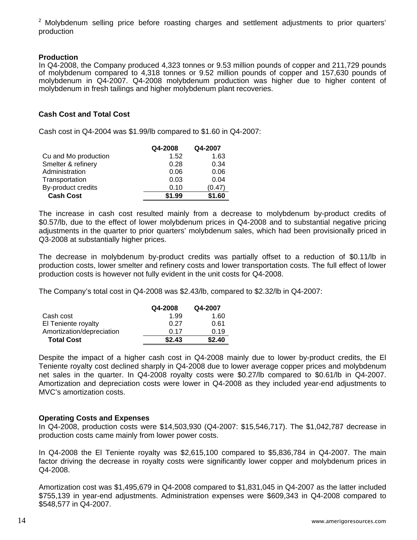$2$  Molvbdenum selling price before roasting charges and settlement adjustments to prior quarters' production

### **Production**

In Q4-2008, the Company produced 4,323 tonnes or 9.53 million pounds of copper and 211,729 pounds of molybdenum compared to 4,318 tonnes or 9.52 million pounds of copper and 157,630 pounds of molybdenum in Q4-2007. Q4-2008 molybdenum production was higher due to higher content of molybdenum in fresh tailings and higher molybdenum plant recoveries.

# **Cash Cost and Total Cost**

Cash cost in Q4-2004 was \$1.99/lb compared to \$1.60 in Q4-2007:

|                      | Q4-2008 | Q4-2007 |
|----------------------|---------|---------|
| Cu and Mo production | 1.52    | 1.63    |
| Smelter & refinery   | 0.28    | 0.34    |
| Administration       | 0.06    | 0.06    |
| Transportation       | 0.03    | 0.04    |
| By-product credits   | 0.10    | (0.47)  |
| <b>Cash Cost</b>     | \$1.99  | \$1.60  |

The increase in cash cost resulted mainly from a decrease to molybdenum by-product credits of \$0.57/lb, due to the effect of lower molybdenum prices in Q4-2008 and to substantial negative pricing adjustments in the quarter to prior quarters' molybdenum sales, which had been provisionally priced in Q3-2008 at substantially higher prices.

The decrease in molybdenum by-product credits was partially offset to a reduction of \$0.11/lb in production costs, lower smelter and refinery costs and lower transportation costs. The full effect of lower production costs is however not fully evident in the unit costs for Q4-2008.

The Company's total cost in Q4-2008 was \$2.43/lb, compared to \$2.32/lb in Q4-2007:

|                           | Q4-2008 | Q4-2007 |
|---------------------------|---------|---------|
| Cash cost                 | 1.99    | 1.60    |
| El Teniente royalty       | 0.27    | 0.61    |
| Amortization/depreciation | 0.17    | 0.19    |
| <b>Total Cost</b>         | \$2.43  | \$2.40  |

Despite the impact of a higher cash cost in Q4-2008 mainly due to lower by-product credits, the El Teniente royalty cost declined sharply in Q4-2008 due to lower average copper prices and molybdenum net sales in the quarter. In Q4-2008 royalty costs were \$0.27/lb compared to \$0.61/lb in Q4-2007. Amortization and depreciation costs were lower in Q4-2008 as they included year-end adjustments to MVC's amortization costs.

# **Operating Costs and Expenses**

In Q4-2008, production costs were \$14,503,930 (Q4-2007: \$15,546,717). The \$1,042,787 decrease in production costs came mainly from lower power costs.

In Q4-2008 the El Teniente royalty was \$2,615,100 compared to \$5,836,784 in Q4-2007. The main factor driving the decrease in royalty costs were significantly lower copper and molybdenum prices in Q4-2008.

Amortization cost was \$1,495,679 in Q4-2008 compared to \$1,831,045 in Q4-2007 as the latter included \$755,139 in year-end adjustments. Administration expenses were \$609,343 in Q4-2008 compared to \$548,577 in Q4-2007.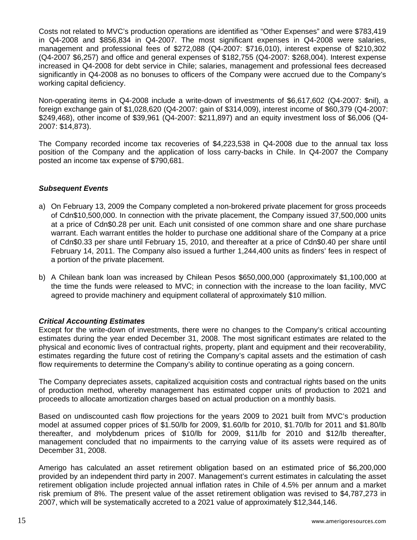Costs not related to MVC's production operations are identified as "Other Expenses" and were \$783,419 in Q4-2008 and \$856,834 in Q4-2007. The most significant expenses in Q4-2008 were salaries, management and professional fees of \$272,088 (Q4-2007: \$716,010), interest expense of \$210,302 (Q4-2007 \$6,257) and office and general expenses of \$182,755 (Q4-2007: \$268,004). Interest expense increased in Q4-2008 for debt service in Chile; salaries, management and professional fees decreased significantly in Q4-2008 as no bonuses to officers of the Company were accrued due to the Company's working capital deficiency.

Non-operating items in Q4-2008 include a write-down of investments of \$6,617,602 (Q4-2007: \$nil), a foreign exchange gain of \$1,028,620 (Q4-2007: gain of \$314,009), interest income of \$60,379 (Q4-2007: \$249,468), other income of \$39,961 (Q4-2007: \$211,897) and an equity investment loss of \$6,006 (Q4- 2007: \$14,873).

The Company recorded income tax recoveries of \$4,223,538 in Q4-2008 due to the annual tax loss position of the Company and the application of loss carry-backs in Chile. In Q4-2007 the Company posted an income tax expense of \$790,681.

# *Subsequent Events*

- a) On February 13, 2009 the Company completed a non-brokered private placement for gross proceeds of Cdn\$10,500,000. In connection with the private placement, the Company issued 37,500,000 units at a price of Cdn\$0.28 per unit. Each unit consisted of one common share and one share purchase warrant. Each warrant entitles the holder to purchase one additional share of the Company at a price of Cdn\$0.33 per share until February 15, 2010, and thereafter at a price of Cdn\$0.40 per share until February 14, 2011. The Company also issued a further 1,244,400 units as finders' fees in respect of a portion of the private placement.
- b) A Chilean bank loan was increased by Chilean Pesos \$650,000,000 (approximately \$1,100,000 at the time the funds were released to MVC; in connection with the increase to the loan facility, MVC agreed to provide machinery and equipment collateral of approximately \$10 million.

# *Critical Accounting Estimates*

Except for the write-down of investments, there were no changes to the Company's critical accounting estimates during the year ended December 31, 2008. The most significant estimates are related to the physical and economic lives of contractual rights, property, plant and equipment and their recoverability, estimates regarding the future cost of retiring the Company's capital assets and the estimation of cash flow requirements to determine the Company's ability to continue operating as a going concern.

The Company depreciates assets, capitalized acquisition costs and contractual rights based on the units of production method, whereby management has estimated copper units of production to 2021 and proceeds to allocate amortization charges based on actual production on a monthly basis.

Based on undiscounted cash flow projections for the years 2009 to 2021 built from MVC's production model at assumed copper prices of \$1.50/lb for 2009, \$1.60/lb for 2010, \$1.70/lb for 2011 and \$1.80/lb thereafter, and molybdenum prices of \$10/lb for 2009, \$11/lb for 2010 and \$12/lb thereafter, management concluded that no impairments to the carrying value of its assets were required as of December 31, 2008.

Amerigo has calculated an asset retirement obligation based on an estimated price of \$6,200,000 provided by an independent third party in 2007. Management's current estimates in calculating the asset retirement obligation include projected annual inflation rates in Chile of 4.5% per annum and a market risk premium of 8%. The present value of the asset retirement obligation was revised to \$4,787,273 in 2007, which will be systematically accreted to a 2021 value of approximately \$12,344,146.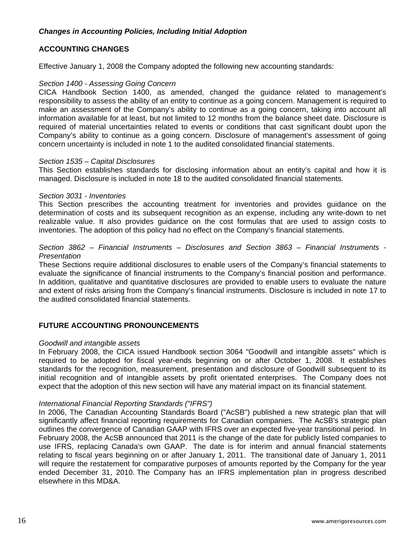# *Changes in Accounting Policies, Including Initial Adoption*

# **ACCOUNTING CHANGES**

Effective January 1, 2008 the Company adopted the following new accounting standards:

### *Section 1400 - Assessing Going Concern*

CICA Handbook Section 1400, as amended, changed the guidance related to management's responsibility to assess the ability of an entity to continue as a going concern. Management is required to make an assessment of the Company's ability to continue as a going concern, taking into account all information available for at least, but not limited to 12 months from the balance sheet date. Disclosure is required of material uncertainties related to events or conditions that cast significant doubt upon the Company's ability to continue as a going concern. Disclosure of management's assessment of going concern uncertainty is included in note 1 to the audited consolidated financial statements.

### *Section 1535 – Capital Disclosures*

This Section establishes standards for disclosing information about an entity's capital and how it is managed. Disclosure is included in note 18 to the audited consolidated financial statements.

### *Section 3031 - Inventories*

This Section prescribes the accounting treatment for inventories and provides guidance on the determination of costs and its subsequent recognition as an expense, including any write-down to net realizable value. It also provides guidance on the cost formulas that are used to assign costs to inventories. The adoption of this policy had no effect on the Company's financial statements.

### *Section 3862 – Financial Instruments – Disclosures and Section 3863 – Financial Instruments - Presentation*

These Sections require additional disclosures to enable users of the Company's financial statements to evaluate the significance of financial instruments to the Company's financial position and performance. In addition, qualitative and quantitative disclosures are provided to enable users to evaluate the nature and extent of risks arising from the Company's financial instruments. Disclosure is included in note 17 to the audited consolidated financial statements.

# **FUTURE ACCOUNTING PRONOUNCEMENTS**

### *Goodwill and intangible assets*

In February 2008, the CICA issued Handbook section 3064 "Goodwill and intangible assets" which is required to be adopted for fiscal year-ends beginning on or after October 1, 2008. It establishes standards for the recognition, measurement, presentation and disclosure of Goodwill subsequent to its initial recognition and of intangible assets by profit orientated enterprises. The Company does not expect that the adoption of this new section will have any material impact on its financial statement.

# *International Financial Reporting Standards ("IFRS")*

In 2006, The Canadian Accounting Standards Board ("AcSB") published a new strategic plan that will significantly affect financial reporting requirements for Canadian companies. The AcSB's strategic plan outlines the convergence of Canadian GAAP with IFRS over an expected five-year transitional period. In February 2008, the AcSB announced that 2011 is the change of the date for publicly listed companies to use IFRS, replacing Canada's own GAAP. The date is for interim and annual financial statements relating to fiscal years beginning on or after January 1, 2011. The transitional date of January 1, 2011 will require the restatement for comparative purposes of amounts reported by the Company for the year ended December 31, 2010. The Company has an IFRS implementation plan in progress described elsewhere in this MD&A.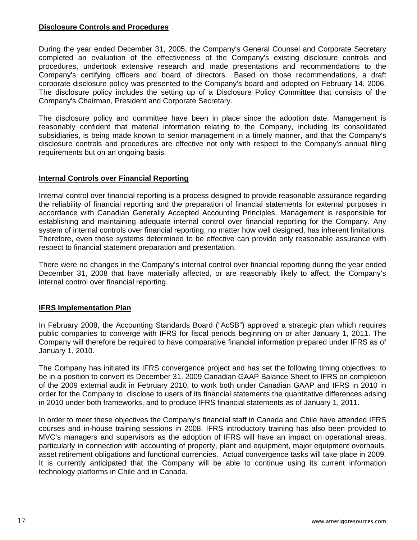### **Disclosure Controls and Procedures**

During the year ended December 31, 2005, the Company's General Counsel and Corporate Secretary completed an evaluation of the effectiveness of the Company's existing disclosure controls and procedures, undertook extensive research and made presentations and recommendations to the Company's certifying officers and board of directors. Based on those recommendations, a draft corporate disclosure policy was presented to the Company's board and adopted on February 14, 2006. The disclosure policy includes the setting up of a Disclosure Policy Committee that consists of the Company's Chairman, President and Corporate Secretary.

The disclosure policy and committee have been in place since the adoption date. Management is reasonably confident that material information relating to the Company, including its consolidated subsidiaries, is being made known to senior management in a timely manner, and that the Company's disclosure controls and procedures are effective not only with respect to the Company's annual filing requirements but on an ongoing basis.

### **Internal Controls over Financial Reporting**

Internal control over financial reporting is a process designed to provide reasonable assurance regarding the reliability of financial reporting and the preparation of financial statements for external purposes in accordance with Canadian Generally Accepted Accounting Principles. Management is responsible for establishing and maintaining adequate internal control over financial reporting for the Company. Any system of internal controls over financial reporting, no matter how well designed, has inherent limitations. Therefore, even those systems determined to be effective can provide only reasonable assurance with respect to financial statement preparation and presentation.

There were no changes in the Company's internal control over financial reporting during the year ended December 31, 2008 that have materially affected, or are reasonably likely to affect, the Company's internal control over financial reporting.

### **IFRS Implementation Plan**

In February 2008, the Accounting Standards Board ("AcSB") approved a strategic plan which requires public companies to converge with IFRS for fiscal periods beginning on or after January 1, 2011. The Company will therefore be required to have comparative financial information prepared under IFRS as of January 1, 2010.

The Company has initiated its IFRS convergence project and has set the following timing objectives: to be in a position to convert its December 31, 2009 Canadian GAAP Balance Sheet to IFRS on completion of the 2009 external audit in February 2010, to work both under Canadian GAAP and IFRS in 2010 in order for the Company to disclose to users of its financial statements the quantitative differences arising in 2010 under both frameworks, and to produce IFRS financial statements as of January 1, 2011.

In order to meet these objectives the Company's financial staff in Canada and Chile have attended IFRS courses and in-house training sessions in 2008. IFRS introductory training has also been provided to MVC's managers and supervisors as the adoption of IFRS will have an impact on operational areas, particularly in connection with accounting of property, plant and equipment, major equipment overhauls, asset retirement obligations and functional currencies. Actual convergence tasks will take place in 2009. It is currently anticipated that the Company will be able to continue using its current information technology platforms in Chile and in Canada.